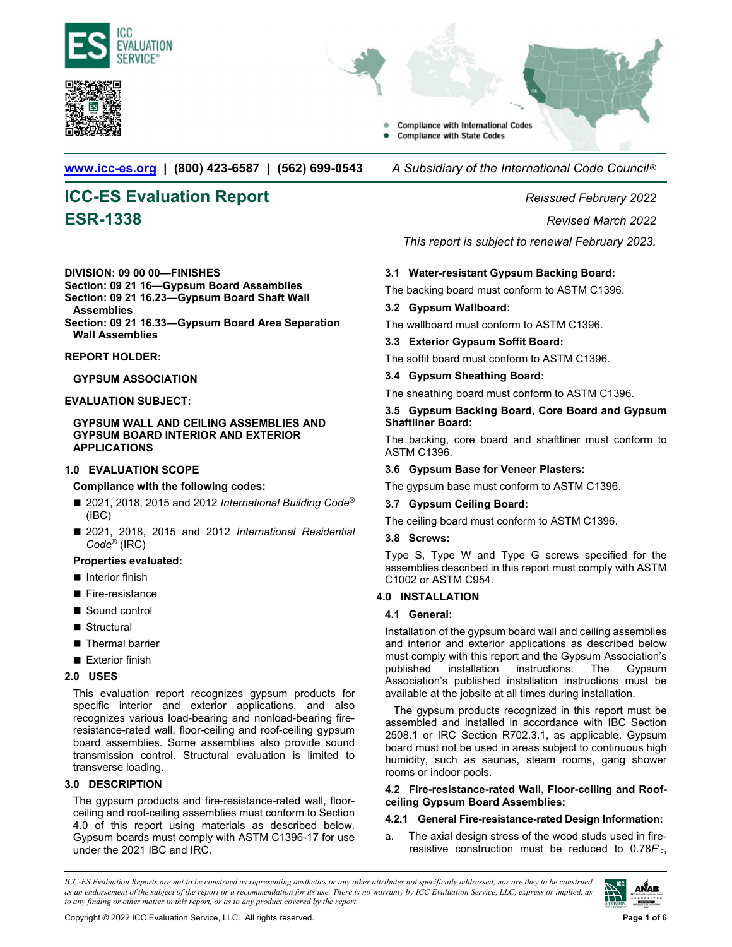



**Compliance with International Codes Compliance with State Codes** 

**www.icc-es.org | (800) 423-6587 | (562) 699-0543** *A Subsidiary of the International Code Council* ®

# **ICC-ES Evaluation Report** *Reissued February 2022* **ESR-1338** *Revised March 2022*

# **DIVISION: 09 00 00—FINISHES**

# **Section: 09 21 16—Gypsum Board Assemblies Section: 09 21 16.23—Gypsum Board Shaft Wall**

**Assemblies** 

**Section: 09 21 16.33—Gypsum Board Area Separation Wall Assemblies** 

#### **REPORT HOLDER:**

#### **GYPSUM ASSOCIATION**

# **EVALUATION SUBJECT:**

**GYPSUM WALL AND CEILING ASSEMBLIES AND GYPSUM BOARD INTERIOR AND EXTERIOR APPLICATIONS** 

# **1.0 EVALUATION SCOPE**

**Compliance with the following codes:**

- 2021, 2018, 2015 and 2012 *International Building Code<sup>®</sup>* (IBC)
- 2021, 2018, 2015 and 2012 *International Residential Code*® (IRC)

#### **Properties evaluated:**

- $\blacksquare$  Interior finish
- Fire-resistance
- Sound control
- Structural
- Thermal barrier
- Exterior finish

#### **2.0 USES**

This evaluation report recognizes gypsum products for specific interior and exterior applications, and also recognizes various load-bearing and nonload-bearing fireresistance-rated wall, floor-ceiling and roof-ceiling gypsum board assemblies. Some assemblies also provide sound transmission control. Structural evaluation is limited to transverse loading.

# **3.0 DESCRIPTION**

The gypsum products and fire-resistance-rated wall, floorceiling and roof-ceiling assemblies must conform to Section 4.0 of this report using materials as described below. Gypsum boards must comply with ASTM C1396-17 for use under the 2021 IBC and IRC.

*This report is subject to renewal February 2023.*

# **3.1 Water-resistant Gypsum Backing Board:**

The backing board must conform to ASTM C1396.

# **3.2 Gypsum Wallboard:**

The wallboard must conform to ASTM C1396.

# **3.3 Exterior Gypsum Soffit Board:**

The soffit board must conform to ASTM C1396.

#### **3.4 Gypsum Sheathing Board:**

The sheathing board must conform to ASTM C1396.

#### **3.5 Gypsum Backing Board, Core Board and Gypsum Shaftliner Board:**

The backing, core board and shaftliner must conform to ASTM C1396.

# **3.6 Gypsum Base for Veneer Plasters:**

The gypsum base must conform to ASTM C1396.

# **3.7 Gypsum Ceiling Board:**

The ceiling board must conform to ASTM C1396.

#### **3.8 Screws:**

Type S, Type W and Type G screws specified for the assemblies described in this report must comply with ASTM C1002 or ASTM C954.

# **4.0 INSTALLATION**

# **4.1 General:**

Installation of the gypsum board wall and ceiling assemblies and interior and exterior applications as described below must comply with this report and the Gypsum Association's published installation instructions. The Gypsum Association's published installation instructions must be available at the jobsite at all times during installation.

The gypsum products recognized in this report must be assembled and installed in accordance with IBC Section 2508.1 or IRC Section R702.3.1, as applicable. Gypsum board must not be used in areas subject to continuous high humidity, such as saunas, steam rooms, gang shower rooms or indoor pools.

#### **4.2 Fire-resistance-rated Wall, Floor-ceiling and Roofceiling Gypsum Board Assemblies:**

# **4.2.1 General Fire-resistance-rated Design Information:**

a. The axial design stress of the wood studs used in fireresistive construction must be reduced to 0.78*F*ʹ*c*,

*ICC-ES Evaluation Reports are not to be construed as representing aesthetics or any other attributes not specifically addressed, nor are they to be construed as an endorsement of the subject of the report or a recommendation for its use. There is no warranty by ICC Evaluation Service, LLC, express or implied, as to any finding or other matter in this report, or as to any product covered by the report.*

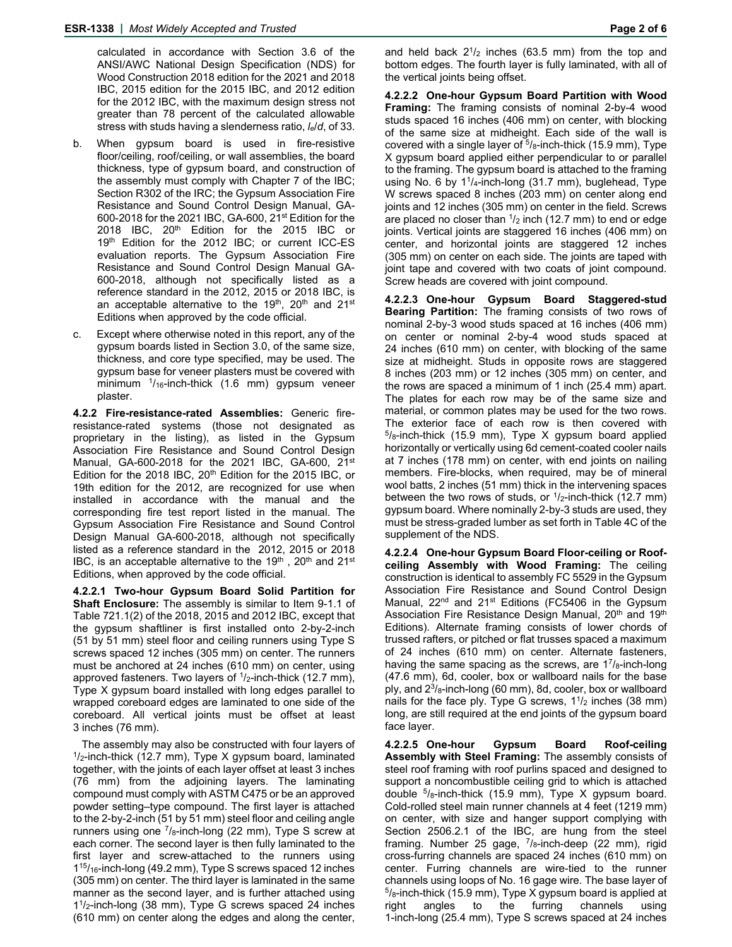calculated in accordance with Section 3.6 of the ANSI/AWC National Design Specification (NDS) for Wood Construction 2018 edition for the 2021 and 2018 IBC, 2015 edition for the 2015 IBC, and 2012 edition for the 2012 IBC, with the maximum design stress not greater than 78 percent of the calculated allowable stress with studs having a slenderness ratio, *le*/*d*, of 33.

- b. When gypsum board is used in fire-resistive floor/ceiling, roof/ceiling, or wall assemblies, the board thickness, type of gypsum board, and construction of the assembly must comply with Chapter 7 of the IBC; Section R302 of the IRC; the Gypsum Association Fire Resistance and Sound Control Design Manual, GA-600-2018 for the 2021 IBC, GA-600, 21<sup>st</sup> Edition for the 2018 IBC, 20<sup>th</sup> Edition for the 2015 IBC or 19<sup>th</sup> Edition for the 2012 IBC; or current ICC-ES evaluation reports. The Gypsum Association Fire Resistance and Sound Control Design Manual GA-600-2018, although not specifically listed as a reference standard in the 2012, 2015 or 2018 IBC, is an acceptable alternative to the 19<sup>th</sup>, 20<sup>th</sup> and 21<sup>st</sup> Editions when approved by the code official.
- c. Except where otherwise noted in this report, any of the gypsum boards listed in Section 3.0, of the same size, thickness, and core type specified, may be used. The gypsum base for veneer plasters must be covered with minimum 1/16-inch-thick (1.6 mm) gypsum veneer plaster.

**4.2.2 Fire-resistance-rated Assemblies:** Generic fireresistance-rated systems (those not designated as proprietary in the listing), as listed in the Gypsum Association Fire Resistance and Sound Control Design Manual, GA-600-2018 for the 2021 IBC, GA-600, 21st Edition for the 2018 IBC,  $20<sup>th</sup>$  Edition for the 2015 IBC, or 19th edition for the 2012, are recognized for use when installed in accordance with the manual and the corresponding fire test report listed in the manual. The Gypsum Association Fire Resistance and Sound Control Design Manual GA-600-2018, although not specifically listed as a reference standard in the 2012, 2015 or 2018 IBC, is an acceptable alternative to the 19<sup>th</sup>, 20<sup>th</sup> and 21<sup>st</sup> Editions, when approved by the code official.

**4.2.2.1 Two-hour Gypsum Board Solid Partition for Shaft Enclosure:** The assembly is similar to Item 9-1.1 of Table 721.1(2) of the 2018, 2015 and 2012 IBC, except that the gypsum shaftliner is first installed onto 2-by-2-inch (51 by 51 mm) steel floor and ceiling runners using Type S screws spaced 12 inches (305 mm) on center. The runners must be anchored at 24 inches (610 mm) on center, using approved fasteners. Two layers of  $1/2$ -inch-thick (12.7 mm), Type X gypsum board installed with long edges parallel to wrapped coreboard edges are laminated to one side of the coreboard. All vertical joints must be offset at least 3 inches (76 mm).

The assembly may also be constructed with four layers of  $1/2$ -inch-thick (12.7 mm), Type X gypsum board, laminated together, with the joints of each layer offset at least 3 inches (76 mm) from the adjoining layers. The laminating compound must comply with ASTM C475 or be an approved powder setting–type compound. The first layer is attached to the 2-by-2-inch (51 by 51 mm) steel floor and ceiling angle runners using one  $\frac{7}{8}$ -inch-long (22 mm), Type S screw at each corner. The second layer is then fully laminated to the first layer and screw-attached to the runners using 115/16-inch-long (49.2 mm), Type S screws spaced 12 inches (305 mm) on center. The third layer is laminated in the same manner as the second layer, and is further attached using  $1<sup>1</sup>/2$ -inch-long (38 mm), Type G screws spaced 24 inches (610 mm) on center along the edges and along the center,

and held back  $2^{1}/2$  inches (63.5 mm) from the top and bottom edges. The fourth layer is fully laminated, with all of the vertical joints being offset.

**4.2.2.2 One-hour Gypsum Board Partition with Wood Framing:** The framing consists of nominal 2-by-4 wood studs spaced 16 inches (406 mm) on center, with blocking of the same size at midheight. Each side of the wall is covered with a single layer of  $5/8$ -inch-thick (15.9 mm), Type X gypsum board applied either perpendicular to or parallel to the framing. The gypsum board is attached to the framing using No. 6 by  $1\frac{1}{4}$ -inch-long (31.7 mm), buglehead, Type W screws spaced 8 inches (203 mm) on center along end joints and 12 inches (305 mm) on center in the field. Screws are placed no closer than  $\frac{1}{2}$  inch (12.7 mm) to end or edge joints. Vertical joints are staggered 16 inches (406 mm) on center, and horizontal joints are staggered 12 inches (305 mm) on center on each side. The joints are taped with joint tape and covered with two coats of joint compound. Screw heads are covered with joint compound.

**4.2.2.3 One-hour Gypsum Board Staggered-stud Bearing Partition:** The framing consists of two rows of nominal 2-by-3 wood studs spaced at 16 inches (406 mm) on center or nominal 2-by-4 wood studs spaced at 24 inches (610 mm) on center, with blocking of the same size at midheight. Studs in opposite rows are staggered 8 inches (203 mm) or 12 inches (305 mm) on center, and the rows are spaced a minimum of 1 inch (25.4 mm) apart. The plates for each row may be of the same size and material, or common plates may be used for the two rows. The exterior face of each row is then covered with  $5/8$ -inch-thick (15.9 mm), Type X gypsum board applied horizontally or vertically using 6d cement-coated cooler nails at 7 inches (178 mm) on center, with end joints on nailing members. Fire-blocks, when required, may be of mineral wool batts, 2 inches (51 mm) thick in the intervening spaces between the two rows of studs, or  $\frac{1}{2}$ -inch-thick (12.7 mm) gypsum board. Where nominally 2-by-3 studs are used, they must be stress-graded lumber as set forth in Table 4C of the supplement of the NDS.

**4.2.2.4 One-hour Gypsum Board Floor-ceiling or Roofceiling Assembly with Wood Framing:** The ceiling construction is identical to assembly FC 5529 in the Gypsum Association Fire Resistance and Sound Control Design Manual,  $22<sup>nd</sup>$  and  $21<sup>st</sup>$  Editions (FC5406 in the Gypsum Association Fire Resistance Design Manual, 20<sup>th</sup> and 19<sup>th</sup> Editions). Alternate framing consists of lower chords of trussed rafters, or pitched or flat trusses spaced a maximum of 24 inches (610 mm) on center. Alternate fasteners, having the same spacing as the screws, are  $1^7$ / $8$ -inch-long (47.6 mm), 6d, cooler, box or wallboard nails for the base ply, and  $2^{3}/_{8}$ -inch-long (60 mm), 8d, cooler, box or wallboard nails for the face ply. Type G screws,  $1\frac{1}{2}$  inches (38 mm) long, are still required at the end joints of the gypsum board face layer.

**4.2.2.5 One-hour Gypsum Board Roof-ceiling Assembly with Steel Framing:** The assembly consists of steel roof framing with roof purlins spaced and designed to support a noncombustible ceiling grid to which is attached double 5/8-inch-thick (15.9 mm), Type X gypsum board. Cold-rolled steel main runner channels at 4 feet (1219 mm) on center, with size and hanger support complying with Section 2506.2.1 of the IBC, are hung from the steel framing. Number 25 gage,  $7/8$ -inch-deep (22 mm), rigid cross-furring channels are spaced 24 inches (610 mm) on center. Furring channels are wire-tied to the runner channels using loops of No. 16 gage wire. The base layer of  $5/8$ -inch-thick (15.9 mm), Type X gypsum board is applied at right angles to the furring channels using 1-inch-long (25.4 mm), Type S screws spaced at 24 inches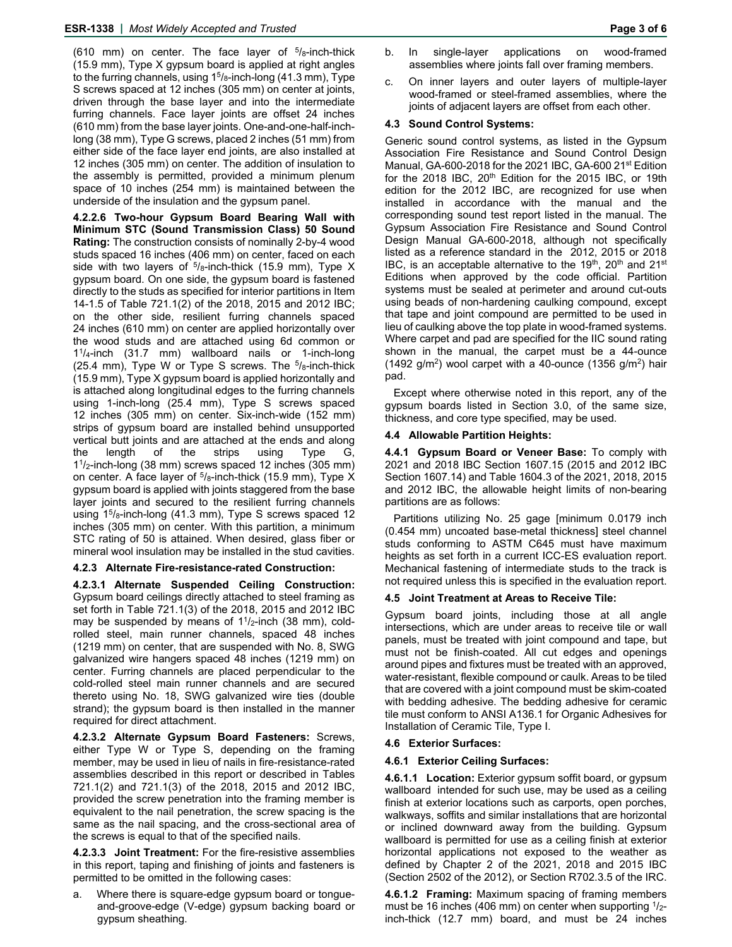(610 mm) on center. The face layer of  $5/8$ -inch-thick (15.9 mm), Type X gypsum board is applied at right angles to the furring channels, using  $1<sup>5</sup>/<sub>8</sub>$ -inch-long (41.3 mm), Type S screws spaced at 12 inches (305 mm) on center at joints, driven through the base layer and into the intermediate furring channels. Face layer joints are offset 24 inches (610 mm) from the base layer joints. One-and-one-half-inchlong (38 mm), Type G screws, placed 2 inches (51 mm) from either side of the face layer end joints, are also installed at 12 inches (305 mm) on center. The addition of insulation to the assembly is permitted, provided a minimum plenum space of 10 inches (254 mm) is maintained between the underside of the insulation and the gypsum panel.

**4.2.2.6 Two-hour Gypsum Board Bearing Wall with Minimum STC (Sound Transmission Class) 50 Sound Rating:** The construction consists of nominally 2-by-4 wood studs spaced 16 inches (406 mm) on center, faced on each side with two layers of  $5/8$ -inch-thick (15.9 mm), Type X gypsum board. On one side, the gypsum board is fastened directly to the studs as specified for interior partitions in Item 14-1.5 of Table 721.1(2) of the 2018, 2015 and 2012 IBC; on the other side, resilient furring channels spaced 24 inches (610 mm) on center are applied horizontally over the wood studs and are attached using 6d common or 11/4-inch (31.7 mm) wallboard nails or 1-inch-long (25.4 mm), Type W or Type S screws. The  $5/8$ -inch-thick (15.9 mm), Type X gypsum board is applied horizontally and is attached along longitudinal edges to the furring channels using 1-inch-long (25.4 mm), Type S screws spaced 12 inches (305 mm) on center. Six-inch-wide (152 mm) strips of gypsum board are installed behind unsupported vertical butt joints and are attached at the ends and along the length of the strips using Type G, 11/2-inch-long (38 mm) screws spaced 12 inches (305 mm) on center. A face layer of  $5/8$ -inch-thick (15.9 mm), Type X gypsum board is applied with joints staggered from the base layer joints and secured to the resilient furring channels using  $15/8$ -inch-long (41.3 mm), Type S screws spaced 12 inches (305 mm) on center. With this partition, a minimum STC rating of 50 is attained. When desired, glass fiber or mineral wool insulation may be installed in the stud cavities.

# **4.2.3 Alternate Fire-resistance-rated Construction:**

**4.2.3.1 Alternate Suspended Ceiling Construction:** Gypsum board ceilings directly attached to steel framing as set forth in Table 721.1(3) of the 2018, 2015 and 2012 IBC may be suspended by means of  $1\frac{1}{2}$ -inch (38 mm), coldrolled steel, main runner channels, spaced 48 inches (1219 mm) on center, that are suspended with No. 8, SWG galvanized wire hangers spaced 48 inches (1219 mm) on center. Furring channels are placed perpendicular to the cold-rolled steel main runner channels and are secured thereto using No. 18, SWG galvanized wire ties (double strand); the gypsum board is then installed in the manner required for direct attachment.

**4.2.3.2 Alternate Gypsum Board Fasteners:** Screws, either Type W or Type S, depending on the framing member, may be used in lieu of nails in fire-resistance-rated assemblies described in this report or described in Tables 721.1(2) and 721.1(3) of the 2018, 2015 and 2012 IBC, provided the screw penetration into the framing member is equivalent to the nail penetration, the screw spacing is the same as the nail spacing, and the cross-sectional area of the screws is equal to that of the specified nails.

**4.2.3.3 Joint Treatment:** For the fire-resistive assemblies in this report, taping and finishing of joints and fasteners is permitted to be omitted in the following cases:

a. Where there is square-edge gypsum board or tongueand-groove-edge (V-edge) gypsum backing board or gypsum sheathing.

- b. In single-layer applications on wood-framed assemblies where joints fall over framing members.
- c. On inner layers and outer layers of multiple-layer wood-framed or steel-framed assemblies, where the joints of adjacent layers are offset from each other.

# **4.3 Sound Control Systems:**

Generic sound control systems, as listed in the Gypsum Association Fire Resistance and Sound Control Design Manual, GA-600-2018 for the 2021 IBC, GA-600 21<sup>st</sup> Edition for the 2018 IBC, 20<sup>th</sup> Edition for the 2015 IBC, or 19th edition for the 2012 IBC, are recognized for use when installed in accordance with the manual and the corresponding sound test report listed in the manual. The Gypsum Association Fire Resistance and Sound Control Design Manual GA-600-2018, although not specifically listed as a reference standard in the 2012, 2015 or 2018 IBC, is an acceptable alternative to the 19<sup>th</sup>, 20<sup>th</sup> and 21<sup>st</sup> Editions when approved by the code official. Partition systems must be sealed at perimeter and around cut-outs using beads of non-hardening caulking compound, except that tape and joint compound are permitted to be used in lieu of caulking above the top plate in wood-framed systems. Where carpet and pad are specified for the IIC sound rating shown in the manual, the carpet must be a 44-ounce (1492 g/m<sup>2</sup>) wool carpet with a 40-ounce (1356 g/m<sup>2</sup>) hair pad.

Except where otherwise noted in this report, any of the gypsum boards listed in Section 3.0, of the same size, thickness, and core type specified, may be used.

# **4.4 Allowable Partition Heights:**

**4.4.1 Gypsum Board or Veneer Base:** To comply with 2021 and 2018 IBC Section 1607.15 (2015 and 2012 IBC Section 1607.14) and Table 1604.3 of the 2021, 2018, 2015 and 2012 IBC, the allowable height limits of non-bearing partitions are as follows:

Partitions utilizing No. 25 gage [minimum 0.0179 inch (0.454 mm) uncoated base-metal thickness] steel channel studs conforming to ASTM C645 must have maximum heights as set forth in a current ICC-ES evaluation report. Mechanical fastening of intermediate studs to the track is not required unless this is specified in the evaluation report.

# **4.5 Joint Treatment at Areas to Receive Tile:**

Gypsum board joints, including those at all angle intersections, which are under areas to receive tile or wall panels, must be treated with joint compound and tape, but must not be finish-coated. All cut edges and openings around pipes and fixtures must be treated with an approved, water-resistant, flexible compound or caulk. Areas to be tiled that are covered with a joint compound must be skim-coated with bedding adhesive. The bedding adhesive for ceramic tile must conform to ANSI A136.1 for Organic Adhesives for Installation of Ceramic Tile, Type I.

# **4.6 Exterior Surfaces:**

# **4.6.1 Exterior Ceiling Surfaces:**

**4.6.1.1 Location:** Exterior gypsum soffit board, or gypsum wallboard intended for such use, may be used as a ceiling finish at exterior locations such as carports, open porches, walkways, soffits and similar installations that are horizontal or inclined downward away from the building. Gypsum wallboard is permitted for use as a ceiling finish at exterior horizontal applications not exposed to the weather as defined by Chapter 2 of the 2021, 2018 and 2015 IBC (Section 2502 of the 2012), or Section R702.3.5 of the IRC.

**4.6.1.2 Framing:** Maximum spacing of framing members must be 16 inches (406 mm) on center when supporting  $1/2$ inch-thick (12.7 mm) board, and must be 24 inches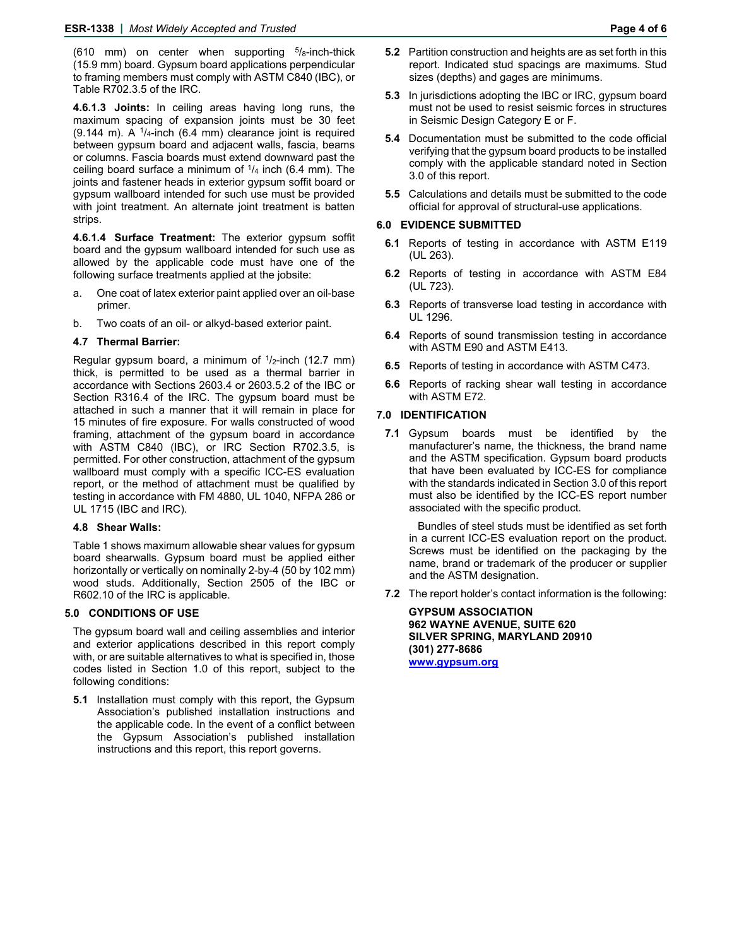(610 mm) on center when supporting  $5/8$ -inch-thick (15.9 mm) board. Gypsum board applications perpendicular to framing members must comply with ASTM C840 (IBC), or Table R702.3.5 of the IRC.

**4.6.1.3 Joints:** In ceiling areas having long runs, the maximum spacing of expansion joints must be 30 feet (9.144 m). A  $\frac{1}{4}$ -inch (6.4 mm) clearance joint is required between gypsum board and adjacent walls, fascia, beams or columns. Fascia boards must extend downward past the ceiling board surface a minimum of  $\frac{1}{4}$  inch (6.4 mm). The joints and fastener heads in exterior gypsum soffit board or gypsum wallboard intended for such use must be provided with joint treatment. An alternate joint treatment is batten strips.

**4.6.1.4 Surface Treatment:** The exterior gypsum soffit board and the gypsum wallboard intended for such use as allowed by the applicable code must have one of the following surface treatments applied at the jobsite:

- a. One coat of latex exterior paint applied over an oil-base primer.
- b. Two coats of an oil- or alkyd-based exterior paint.

# **4.7 Thermal Barrier:**

Regular gypsum board, a minimum of  $1/2$ -inch (12.7 mm) thick, is permitted to be used as a thermal barrier in accordance with Sections 2603.4 or 2603.5.2 of the IBC or Section R316.4 of the IRC. The gypsum board must be attached in such a manner that it will remain in place for 15 minutes of fire exposure. For walls constructed of wood framing, attachment of the gypsum board in accordance with ASTM C840 (IBC), or IRC Section R702.3.5, is permitted. For other construction, attachment of the gypsum wallboard must comply with a specific ICC-ES evaluation report, or the method of attachment must be qualified by testing in accordance with FM 4880, UL 1040, NFPA 286 or UL 1715 (IBC and IRC).

#### **4.8 Shear Walls:**

Table 1 shows maximum allowable shear values for gypsum board shearwalls. Gypsum board must be applied either horizontally or vertically on nominally 2-by-4 (50 by 102 mm) wood studs. Additionally, Section 2505 of the IBC or R602.10 of the IRC is applicable.

# **5.0 CONDITIONS OF USE**

The gypsum board wall and ceiling assemblies and interior and exterior applications described in this report comply with, or are suitable alternatives to what is specified in, those codes listed in Section 1.0 of this report, subject to the following conditions:

**5.1** Installation must comply with this report, the Gypsum Association's published installation instructions and the applicable code. In the event of a conflict between the Gypsum Association's published installation instructions and this report, this report governs.

- **5.2** Partition construction and heights are as set forth in this report. Indicated stud spacings are maximums. Stud sizes (depths) and gages are minimums.
- **5.3** In jurisdictions adopting the IBC or IRC, gypsum board must not be used to resist seismic forces in structures in Seismic Design Category E or F.
- **5.4** Documentation must be submitted to the code official verifying that the gypsum board products to be installed comply with the applicable standard noted in Section 3.0 of this report.
- **5.5** Calculations and details must be submitted to the code official for approval of structural-use applications.

#### **6.0 EVIDENCE SUBMITTED**

- **6.1** Reports of testing in accordance with ASTM E119 (UL 263).
- **6.2** Reports of testing in accordance with ASTM E84 (UL 723).
- **6.3** Reports of transverse load testing in accordance with UL 1296.
- **6.4** Reports of sound transmission testing in accordance with ASTM E90 and ASTM E413.
- **6.5** Reports of testing in accordance with ASTM C473.
- **6.6** Reports of racking shear wall testing in accordance with ASTM E72.

# **7.0 IDENTIFICATION**

**7.1** Gypsum boards must be identified by the manufacturer's name, the thickness, the brand name and the ASTM specification. Gypsum board products that have been evaluated by ICC-ES for compliance with the standards indicated in Section 3.0 of this report must also be identified by the ICC-ES report number associated with the specific product.

Bundles of steel studs must be identified as set forth in a current ICC-ES evaluation report on the product. Screws must be identified on the packaging by the name, brand or trademark of the producer or supplier and the ASTM designation.

**7.2** The report holder's contact information is the following:

**GYPSUM ASSOCIATION 962 WAYNE AVENUE, SUITE 620 SILVER SPRING, MARYLAND 20910 (301) 277-8686 www.gypsum.org**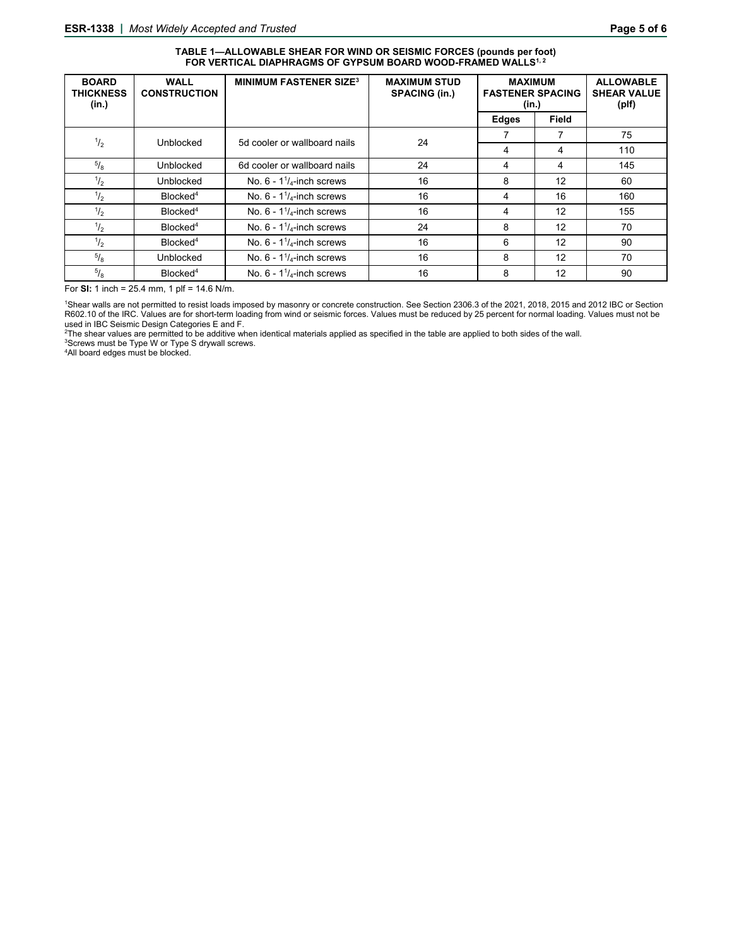#### **TABLE 1—ALLOWABLE SHEAR FOR WIND OR SEISMIC FORCES (pounds per foot)**  FOR VERTICAL DIAPHRAGMS OF GYPSUM BOARD WOOD-FRAMED WALLS<sup>1, 2</sup>

| <b>BOARD</b><br><b>THICKNESS</b><br>(in.) | <b>WALL</b><br><b>CONSTRUCTION</b> | <b>MINIMUM FASTENER SIZE3</b>       | <b>MAXIMUM STUD</b><br><b>SPACING (in.)</b> | <b>MAXIMUM</b><br><b>FASTENER SPACING</b><br>(in.) |                   | <b>ALLOWABLE</b><br><b>SHEAR VALUE</b><br>(plf) |
|-------------------------------------------|------------------------------------|-------------------------------------|---------------------------------------------|----------------------------------------------------|-------------------|-------------------------------------------------|
|                                           |                                    |                                     |                                             | <b>Edges</b>                                       | Field             |                                                 |
| $^{1/2}$                                  | Unblocked                          | 5d cooler or wallboard nails        | 24                                          |                                                    |                   | 75                                              |
|                                           |                                    |                                     |                                             | 4                                                  | 4                 | 110                                             |
| $^{5}/_8$                                 | <b>Unblocked</b>                   | 6d cooler or wallboard nails        | 24                                          | 4                                                  | 4                 | 145                                             |
| $^{1/2}$                                  | <b>Unblocked</b>                   | No. $6 - 11/4$ -inch screws         | 16                                          | 8                                                  | 12                | 60                                              |
| $\frac{1}{2}$                             | Blocked <sup>4</sup>               | No. $6 - 11/4$ -inch screws         | 16                                          | 4                                                  | 16                | 160                                             |
| $\frac{1}{2}$                             | Blocked <sup>4</sup>               | No. $6 - 11/4$ -inch screws         | 16                                          | 4                                                  | 12                | 155                                             |
| $\frac{1}{2}$                             | Blocked <sup>4</sup>               | No. $6 - 11/4$ -inch screws         | 24                                          | 8                                                  | 12                | 70                                              |
| $^{1/2}$                                  | Blocked <sup>4</sup>               | No. $6 - 11/4$ -inch screws         | 16                                          | 6                                                  | 12                | 90                                              |
| $^{5}/_{8}$                               | <b>Unblocked</b>                   | No. $6 - 1\frac{1}{4}$ -inch screws | 16                                          | 8                                                  | 12                | 70                                              |
| $\sqrt[5]{_8}$                            | Blocked <sup>4</sup>               | No. $6 - 11/4$ -inch screws         | 16                                          | 8                                                  | $12 \overline{ }$ | 90                                              |

For **SI:** 1 inch = 25.4 mm, 1 plf = 14.6 N/m.

1 Shear walls are not permitted to resist loads imposed by masonry or concrete construction. See Section 2306.3 of the 2021, 2018, 2015 and 2012 IBC or Section R602.10 of the IRC. Values are for short-term loading from wind or seismic forces. Values must be reduced by 25 percent for normal loading. Values must not be

used in IBC Seismic Design Categories E and F.<br><sup>2</sup>The shear values are permitted to be additive when identical materials applied as specified in the table are applied to both sides of the wall.<br><sup>3Screwe</sup> must he Type W.or

<sup>3</sup>Screws must be Type W or Type S drywall screws.

4All board edges must be blocked.